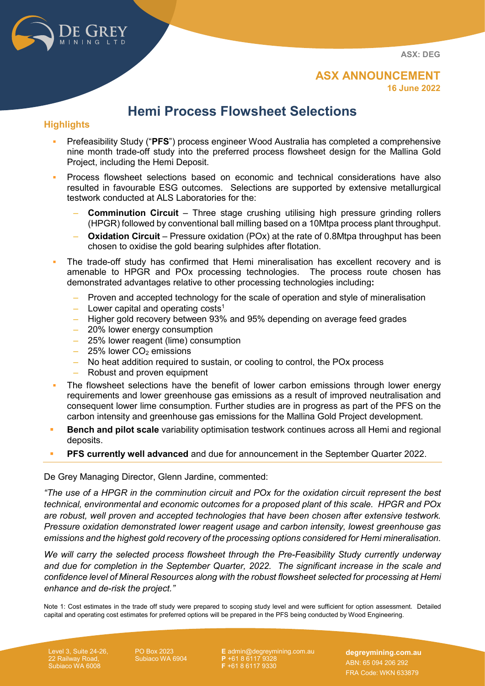MINING LTD

**ASX: DEG**

# **Hemi Process Flowsheet Selections**

## **Highlights**

- Prefeasibility Study ("**PFS**") process engineer Wood Australia has completed a comprehensive nine month trade-off study into the preferred process flowsheet design for the Mallina Gold Project, including the Hemi Deposit.
- Process flowsheet selections based on economic and technical considerations have also resulted in favourable ESG outcomes. Selections are supported by extensive metallurgical testwork conducted at ALS Laboratories for the:
	- ‒ **Comminution Circuit** Three stage crushing utilising high pressure grinding rollers (HPGR) followed by conventional ball milling based on a 10Mtpa process plant throughput.
	- ‒ **Oxidation Circuit** Pressure oxidation (POx) at the rate of 0.8Mtpa throughput has been chosen to oxidise the gold bearing sulphides after flotation.
- The trade-off study has confirmed that Hemi mineralisation has excellent recovery and is amenable to HPGR and POx processing technologies. The process route chosen has demonstrated advantages relative to other processing technologies including**:**
	- Proven and accepted technology for the scale of operation and style of mineralisation
	- $\blacksquare$  Lower capital and operating costs<sup>1</sup>
	- ‒ Higher gold recovery between 93% and 95% depending on average feed grades
	- ‒ 20% lower energy consumption
	- ‒ 25% lower reagent (lime) consumption
	- $-$  25% lower CO<sub>2</sub> emissions
	- No heat addition required to sustain, or cooling to control, the POx process
	- Robust and proven equipment
- The flowsheet selections have the benefit of lower carbon emissions through lower energy requirements and lower greenhouse gas emissions as a result of improved neutralisation and consequent lower lime consumption. Further studies are in progress as part of the PFS on the carbon intensity and greenhouse gas emissions for the Mallina Gold Project development.
- **Bench and pilot scale** variability optimisation testwork continues across all Hemi and regional deposits.
- **PFS currently well advanced** and due for announcement in the September Quarter 2022.

## De Grey Managing Director, Glenn Jardine, commented:

*"The use of a HPGR in the comminution circuit and POx for the oxidation circuit represent the best technical, environmental and economic outcomes for a proposed plant of this scale. HPGR and POx are robust, well proven and accepted technologies that have been chosen after extensive testwork. Pressure oxidation demonstrated lower reagent usage and carbon intensity, lowest greenhouse gas emissions and the highest gold recovery of the processing options considered for Hemi mineralisation.*

*We will carry the selected process flowsheet through the Pre-Feasibility Study currently underway and due for completion in the September Quarter, 2022. The significant increase in the scale and confidence level of Mineral Resources along with the robust flowsheet selected for processing at Hemi enhance and de-risk the project."*

Note 1: Cost estimates in the trade off study were prepared to scoping study level and were sufficient for option assessment. Detailed capital and operating cost estimates for preferred options will be prepared in the PFS being conducted by Wood Engineering.

22 Railway Road, Subiaco WA 6008 PO Box 2023 Subiaco WA 6904

**E** [admin@degreymining.com.au](mailto:admin@degreymining.com.au) **P** +61 8 6117 9328 **F** +61 8 6117 9330

**degreymining.com.au** ABN: 65 094 206 292 FRA Code: WKN 633879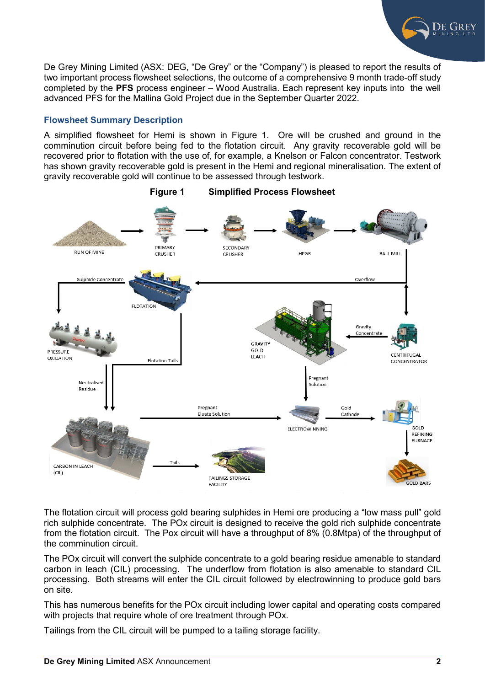

De Grey Mining Limited (ASX: DEG, "De Grey" or the "Company") is pleased to report the results of two important process flowsheet selections, the outcome of a comprehensive 9 month trade-off study completed by the **PFS** process engineer – Wood Australia. Each represent key inputs into the well advanced PFS for the Mallina Gold Project due in the September Quarter 2022.

## **Flowsheet Summary Description**

A simplified flowsheet for Hemi is shown in Figure 1. Ore will be crushed and ground in the comminution circuit before being fed to the flotation circuit. Any gravity recoverable gold will be recovered prior to flotation with the use of, for example, a Knelson or Falcon concentrator. Testwork has shown gravity recoverable gold is present in the Hemi and regional mineralisation. The extent of gravity recoverable gold will continue to be assessed through testwork.



**Figure 1 Simplified Process Flowsheet**

The flotation circuit will process gold bearing sulphides in Hemi ore producing a "low mass pull" gold rich sulphide concentrate. The POx circuit is designed to receive the gold rich sulphide concentrate from the flotation circuit. The Pox circuit will have a throughput of 8% (0.8Mtpa) of the throughput of the comminution circuit.

The POx circuit will convert the sulphide concentrate to a gold bearing residue amenable to standard carbon in leach (CIL) processing. The underflow from flotation is also amenable to standard CIL processing. Both streams will enter the CIL circuit followed by electrowinning to produce gold bars on site.

This has numerous benefits for the POx circuit including lower capital and operating costs compared with projects that require whole of ore treatment through POx.

Tailings from the CIL circuit will be pumped to a tailing storage facility.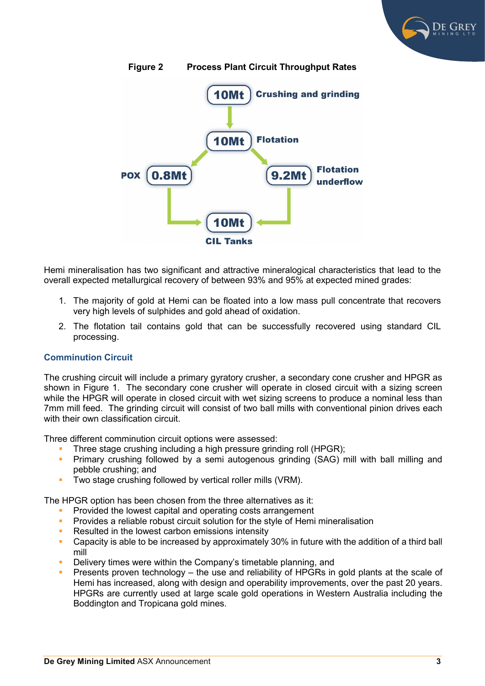



**Figure 2 Process Plant Circuit Throughput Rates**

Hemi mineralisation has two significant and attractive mineralogical characteristics that lead to the overall expected metallurgical recovery of between 93% and 95% at expected mined grades:

- 1. The majority of gold at Hemi can be floated into a low mass pull concentrate that recovers very high levels of sulphides and gold ahead of oxidation.
- 2. The flotation tail contains gold that can be successfully recovered using standard CIL processing.

## **Comminution Circuit**

The crushing circuit will include a primary gyratory crusher, a secondary cone crusher and HPGR as shown in Figure 1. The secondary cone crusher will operate in closed circuit with a sizing screen while the HPGR will operate in closed circuit with wet sizing screens to produce a nominal less than 7mm mill feed. The grinding circuit will consist of two ball mills with conventional pinion drives each with their own classification circuit

Three different comminution circuit options were assessed:

- Three stage crushing including a high pressure grinding roll (HPGR);
- **Primary crushing followed by a semi autogenous grinding (SAG) mill with ball milling and** pebble crushing; and
- **Two stage crushing followed by vertical roller mills (VRM).**

The HPGR option has been chosen from the three alternatives as it:

- Provided the lowest capital and operating costs arrangement
- **Provides a reliable robust circuit solution for the style of Hemi mineralisation**
- Resulted in the lowest carbon emissions intensity
- **Capacity is able to be increased by approximately 30% in future with the addition of a third ball** mill
- Delivery times were within the Company's timetable planning, and
- Presents proven technology the use and reliability of HPGRs in gold plants at the scale of Hemi has increased, along with design and operability improvements, over the past 20 years. HPGRs are currently used at large scale gold operations in Western Australia including the Boddington and Tropicana gold mines.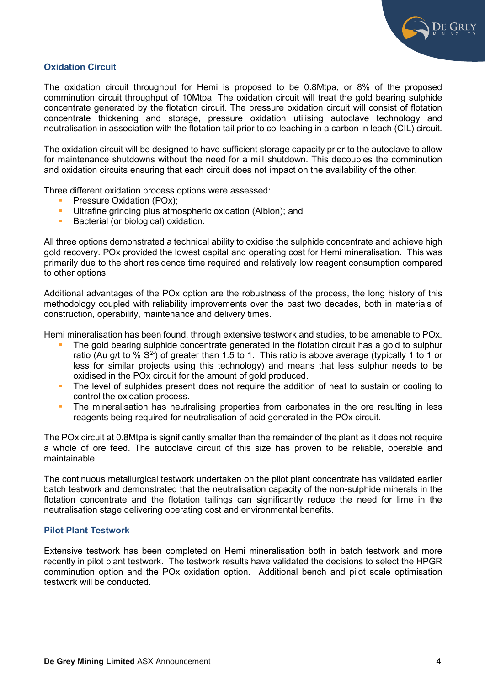

## **Oxidation Circuit**

The oxidation circuit throughput for Hemi is proposed to be 0.8Mtpa, or 8% of the proposed comminution circuit throughput of 10Mtpa. The oxidation circuit will treat the gold bearing sulphide concentrate generated by the flotation circuit. The pressure oxidation circuit will consist of flotation concentrate thickening and storage, pressure oxidation utilising autoclave technology and neutralisation in association with the flotation tail prior to co-leaching in a carbon in leach (CIL) circuit.

The oxidation circuit will be designed to have sufficient storage capacity prior to the autoclave to allow for maintenance shutdowns without the need for a mill shutdown. This decouples the comminution and oxidation circuits ensuring that each circuit does not impact on the availability of the other.

Three different oxidation process options were assessed:

- **Pressure Oxidation (POx);**
- Ultrafine grinding plus atmospheric oxidation (Albion); and<br>Bacterial (or biological) oxidation
- Bacterial (or biological) oxidation.

All three options demonstrated a technical ability to oxidise the sulphide concentrate and achieve high gold recovery. POx provided the lowest capital and operating cost for Hemi mineralisation. This was primarily due to the short residence time required and relatively low reagent consumption compared to other options.

Additional advantages of the POx option are the robustness of the process, the long history of this methodology coupled with reliability improvements over the past two decades, both in materials of construction, operability, maintenance and delivery times.

Hemi mineralisation has been found, through extensive testwork and studies, to be amenable to POx.

- The gold bearing sulphide concentrate generated in the flotation circuit has a gold to sulphur ratio (Au g/t to %  $S^2$ ) of greater than 1.5 to 1. This ratio is above average (typically 1 to 1 or less for similar projects using this technology) and means that less sulphur needs to be oxidised in the POx circuit for the amount of gold produced.
- The level of sulphides present does not require the addition of heat to sustain or cooling to control the oxidation process.
- The mineralisation has neutralising properties from carbonates in the ore resulting in less reagents being required for neutralisation of acid generated in the POx circuit.

The POx circuit at 0.8Mtpa is significantly smaller than the remainder of the plant as it does not require a whole of ore feed. The autoclave circuit of this size has proven to be reliable, operable and maintainable.

The continuous metallurgical testwork undertaken on the pilot plant concentrate has validated earlier batch testwork and demonstrated that the neutralisation capacity of the non-sulphide minerals in the flotation concentrate and the flotation tailings can significantly reduce the need for lime in the neutralisation stage delivering operating cost and environmental benefits.

## **Pilot Plant Testwork**

Extensive testwork has been completed on Hemi mineralisation both in batch testwork and more recently in pilot plant testwork. The testwork results have validated the decisions to select the HPGR comminution option and the POx oxidation option. Additional bench and pilot scale optimisation testwork will be conducted.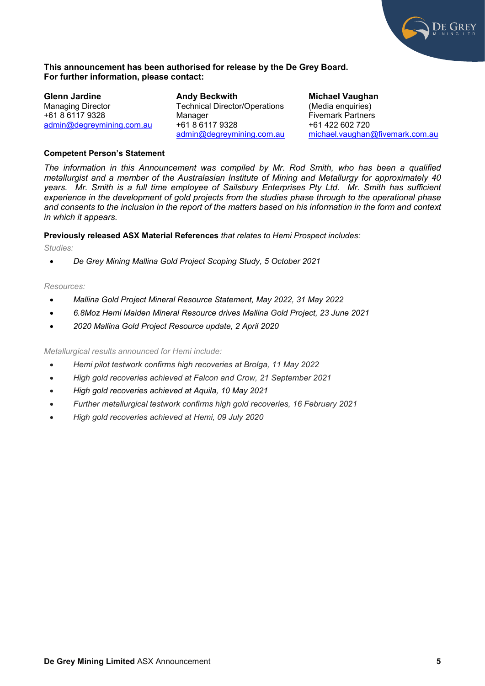

#### **This announcement has been authorised for release by the De Grey Board. For further information, please contact:**

**Glenn Jardine** Managing Director +61 8 6117 9328 [admin@degreymining.com.au](mailto:admin@degreymining.com.au)

**Andy Beckwith** Technical Director/Operations Manager +61 8 6117 9328 [admin@degreymining.com.au](mailto:admin@degreymining.com.au) **Michael Vaughan**  (Media enquiries) Fivemark Partners +61 422 602 720 [michael.vaughan@fivemark.com.au](mailto:michael.vaughan@fivemark.com.au)

#### **Competent Person's Statement**

*The information in this Announcement was compiled by Mr. Rod Smith, who has been a qualified metallurgist and a member of the Australasian Institute of Mining and Metallurgy for approximately 40 years. Mr. Smith is a full time employee of Sailsbury Enterprises Pty Ltd. Mr. Smith has sufficient experience in the development of gold projects from the studies phase through to the operational phase and consents to the inclusion in the report of the matters based on his information in the form and context in which it appears.*

**Previously released ASX Material References** *that relates to Hemi Prospect includes:*

*Studies:*

• *De Grey Mining Mallina Gold Project Scoping Study, 5 October 2021*

#### *Resources:*

- *Mallina Gold Project Mineral Resource Statement, May 2022, 31 May 2022*
- *6.8Moz Hemi Maiden Mineral Resource drives Mallina Gold Project, 23 June 2021*
- *2020 Mallina Gold Project Resource update, 2 April 2020*

*Metallurgical results announced for Hemi include:*

- *Hemi pilot testwork confirms high recoveries at Brolga, 11 May 2022*
- *High gold recoveries achieved at Falcon and Crow, 21 September 2021*
- *High gold recoveries achieved at Aquila, 10 May 2021*
- *Further metallurgical testwork confirms high gold recoveries, 16 February 2021*
- *High gold recoveries achieved at Hemi, 09 July 2020*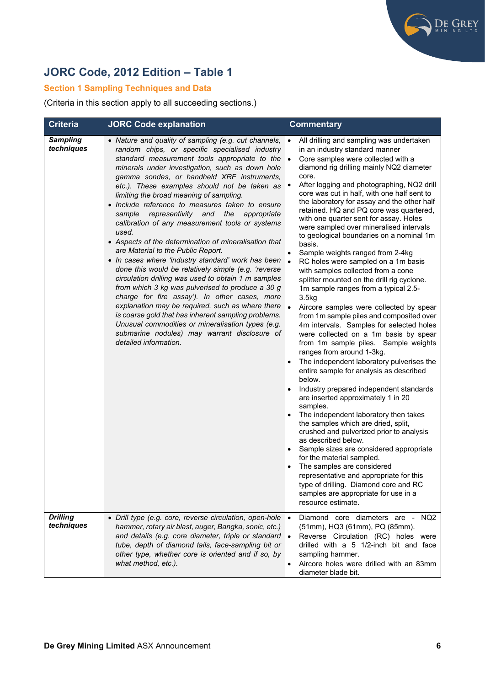

# **JORC Code, 2012 Edition – Table 1**

## **Section 1 Sampling Techniques and Data**

(Criteria in this section apply to all succeeding sections.)

| <b>Criteria</b>               | <b>JORC Code explanation</b>                                                                                                                                                                                                                                                                                                                                                                                                                                                                                                                                                                                                                                                                                                                                                                                                                                                                                                                                                                                                                                                                                                              | <b>Commentary</b>                                                                                                                                                                                                                                                                                                                                                                                                                                                                                                                                                                                                                                                                                                                                                                                                                                                                                                                                                                                                                                                                                                                                                                                                                                                                                                                                                                                                                                                                                                                                                                                                         |
|-------------------------------|-------------------------------------------------------------------------------------------------------------------------------------------------------------------------------------------------------------------------------------------------------------------------------------------------------------------------------------------------------------------------------------------------------------------------------------------------------------------------------------------------------------------------------------------------------------------------------------------------------------------------------------------------------------------------------------------------------------------------------------------------------------------------------------------------------------------------------------------------------------------------------------------------------------------------------------------------------------------------------------------------------------------------------------------------------------------------------------------------------------------------------------------|---------------------------------------------------------------------------------------------------------------------------------------------------------------------------------------------------------------------------------------------------------------------------------------------------------------------------------------------------------------------------------------------------------------------------------------------------------------------------------------------------------------------------------------------------------------------------------------------------------------------------------------------------------------------------------------------------------------------------------------------------------------------------------------------------------------------------------------------------------------------------------------------------------------------------------------------------------------------------------------------------------------------------------------------------------------------------------------------------------------------------------------------------------------------------------------------------------------------------------------------------------------------------------------------------------------------------------------------------------------------------------------------------------------------------------------------------------------------------------------------------------------------------------------------------------------------------------------------------------------------------|
| <b>Sampling</b><br>techniques | • Nature and quality of sampling (e.g. cut channels,<br>random chips, or specific specialised industry<br>standard measurement tools appropriate to the<br>minerals under investigation, such as down hole<br>gamma sondes, or handheld XRF instruments,<br>etc.). These examples should not be taken as<br>limiting the broad meaning of sampling.<br>· Include reference to measures taken to ensure<br>representivity and<br>the<br>sample<br>appropriate<br>calibration of any measurement tools or systems<br>used.<br>• Aspects of the determination of mineralisation that<br>are Material to the Public Report.<br>• In cases where 'industry standard' work has been<br>done this would be relatively simple (e.g. 'reverse<br>circulation drilling was used to obtain 1 m samples<br>from which 3 kg was pulverised to produce a 30 g<br>charge for fire assay'). In other cases, more<br>explanation may be required, such as where there<br>is coarse gold that has inherent sampling problems.<br>Unusual commodities or mineralisation types (e.g.<br>submarine nodules) may warrant disclosure of<br>detailed information. | All drilling and sampling was undertaken<br>in an industry standard manner<br>Core samples were collected with a<br>$\bullet$<br>diamond rig drilling mainly NQ2 diameter<br>core.<br>After logging and photographing, NQ2 drill<br>core was cut in half, with one half sent to<br>the laboratory for assay and the other half<br>retained. HQ and PQ core was quartered,<br>with one quarter sent for assay. Holes<br>were sampled over mineralised intervals<br>to geological boundaries on a nominal 1m<br>basis.<br>Sample weights ranged from 2-4kg<br>RC holes were sampled on a 1m basis<br>$\bullet$<br>with samples collected from a cone<br>splitter mounted on the drill rig cyclone.<br>1m sample ranges from a typical 2.5-<br>3.5kg<br>$\bullet$<br>Aircore samples were collected by spear<br>from 1m sample piles and composited over<br>4m intervals. Samples for selected holes<br>were collected on a 1m basis by spear<br>from 1m sample piles. Sample weights<br>ranges from around 1-3kg.<br>The independent laboratory pulverises the<br>entire sample for analysis as described<br>below.<br>Industry prepared independent standards<br>are inserted approximately 1 in 20<br>samples.<br>The independent laboratory then takes<br>the samples which are dried, split,<br>crushed and pulverized prior to analysis<br>as described below.<br>Sample sizes are considered appropriate<br>for the material sampled.<br>The samples are considered<br>representative and appropriate for this<br>type of drilling. Diamond core and RC<br>samples are appropriate for use in a<br>resource estimate. |
| <b>Drilling</b><br>techniques | • Drill type (e.g. core, reverse circulation, open-hole .<br>hammer, rotary air blast, auger, Bangka, sonic, etc.)<br>and details (e.g. core diameter, triple or standard •<br>tube, depth of diamond tails, face-sampling bit or<br>other type, whether core is oriented and if so, by<br>what method, etc.).                                                                                                                                                                                                                                                                                                                                                                                                                                                                                                                                                                                                                                                                                                                                                                                                                            | Diamond core diameters are - NQ2<br>(51mm), HQ3 (61mm), PQ (85mm).<br>Reverse Circulation (RC) holes were<br>drilled with a 5 1/2-inch bit and face<br>sampling hammer.<br>Aircore holes were drilled with an 83mm<br>$\bullet$<br>diameter blade bit.                                                                                                                                                                                                                                                                                                                                                                                                                                                                                                                                                                                                                                                                                                                                                                                                                                                                                                                                                                                                                                                                                                                                                                                                                                                                                                                                                                    |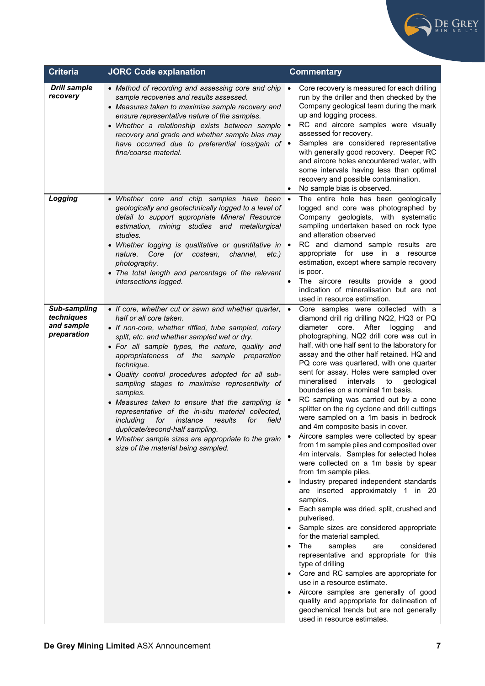

| <b>Criteria</b>                                                | <b>JORC Code explanation</b>                                                                                                                                                                                                                                                                                                                                                                                                                                                                                                                                                                                                                                                                                             | <b>Commentary</b>                                                                                                                                                                                                                                                                                                                                                                                                                                                                                                                                                                                                                                                                                                                                                                                                                                                                                                                                                                                                                                                                                                                                                                                                                                                                                                                                                                                                     |
|----------------------------------------------------------------|--------------------------------------------------------------------------------------------------------------------------------------------------------------------------------------------------------------------------------------------------------------------------------------------------------------------------------------------------------------------------------------------------------------------------------------------------------------------------------------------------------------------------------------------------------------------------------------------------------------------------------------------------------------------------------------------------------------------------|-----------------------------------------------------------------------------------------------------------------------------------------------------------------------------------------------------------------------------------------------------------------------------------------------------------------------------------------------------------------------------------------------------------------------------------------------------------------------------------------------------------------------------------------------------------------------------------------------------------------------------------------------------------------------------------------------------------------------------------------------------------------------------------------------------------------------------------------------------------------------------------------------------------------------------------------------------------------------------------------------------------------------------------------------------------------------------------------------------------------------------------------------------------------------------------------------------------------------------------------------------------------------------------------------------------------------------------------------------------------------------------------------------------------------|
| <b>Drill sample</b><br>recovery                                | • Method of recording and assessing core and chip<br>sample recoveries and results assessed.<br>• Measures taken to maximise sample recovery and<br>ensure representative nature of the samples.<br>• Whether a relationship exists between sample<br>recovery and grade and whether sample bias may<br>have occurred due to preferential loss/gain of $\bullet$<br>fine/coarse material.                                                                                                                                                                                                                                                                                                                                | Core recovery is measured for each drilling<br>$\bullet$<br>run by the driller and then checked by the<br>Company geological team during the mark<br>up and logging process.<br>RC and aircore samples were visually<br>assessed for recovery.<br>Samples are considered representative<br>with generally good recovery. Deeper RC<br>and aircore holes encountered water, with<br>some intervals having less than optimal<br>recovery and possible contamination.<br>No sample bias is observed.                                                                                                                                                                                                                                                                                                                                                                                                                                                                                                                                                                                                                                                                                                                                                                                                                                                                                                                     |
| Logging                                                        | • Whether core and chip samples have been •<br>geologically and geotechnically logged to a level of<br>detail to support appropriate Mineral Resource<br>estimation, mining studies and metallurgical<br>studies.<br>• Whether logging is qualitative or quantitative in •<br>channel,<br>Core<br>(or costean,<br>$etc.$ )<br>nature.<br>photography.<br>• The total length and percentage of the relevant<br>intersections logged.                                                                                                                                                                                                                                                                                      | The entire hole has been geologically<br>logged and core was photographed by<br>Company geologists, with systematic<br>sampling undertaken based on rock type<br>and alteration observed<br>RC and diamond sample results are<br>appropriate for use in a resource<br>estimation, except where sample recovery<br>is poor.<br>The aircore results provide a good<br>indication of mineralisation but are not<br>used in resource estimation.                                                                                                                                                                                                                                                                                                                                                                                                                                                                                                                                                                                                                                                                                                                                                                                                                                                                                                                                                                          |
| <b>Sub-sampling</b><br>techniques<br>and sample<br>preparation | • If core, whether cut or sawn and whether quarter, •<br>half or all core taken.<br>• If non-core, whether riffled, tube sampled, rotary<br>split, etc. and whether sampled wet or dry.<br>• For all sample types, the nature, quality and<br>appropriateness of the sample preparation<br>technique.<br>• Quality control procedures adopted for all sub-<br>sampling stages to maximise representivity of<br>samples.<br>• Measures taken to ensure that the sampling is<br>representative of the in-situ material collected,<br>field<br>including<br>for instance<br>results<br>for<br>duplicate/second-half sampling.<br>• Whether sample sizes are appropriate to the grain<br>size of the material being sampled. | Core samples were collected with a<br>diamond drill rig drilling NQ2, HQ3 or PQ<br>After<br>diameter<br>core.<br>logging<br>and<br>photographing, NQ2 drill core was cut in<br>half, with one half sent to the laboratory for<br>assay and the other half retained. HQ and<br>PQ core was quartered, with one quarter<br>sent for assay. Holes were sampled over<br>mineralised<br>intervals<br>geological<br>to<br>boundaries on a nominal 1m basis.<br>RC sampling was carried out by a cone<br>splitter on the rig cyclone and drill cuttings<br>were sampled on a 1m basis in bedrock<br>and 4m composite basis in cover.<br>Aircore samples were collected by spear<br>from 1m sample piles and composited over<br>4m intervals. Samples for selected holes<br>were collected on a 1m basis by spear<br>from 1m sample piles.<br>Industry prepared independent standards<br>are inserted approximately 1 in 20<br>samples.<br>Each sample was dried, split, crushed and<br>pulverised.<br>Sample sizes are considered appropriate<br>for the material sampled.<br>The<br>samples<br>considered<br>are<br>representative and appropriate for this<br>type of drilling<br>Core and RC samples are appropriate for<br>use in a resource estimate.<br>Aircore samples are generally of good<br>quality and appropriate for delineation of<br>geochemical trends but are not generally<br>used in resource estimates. |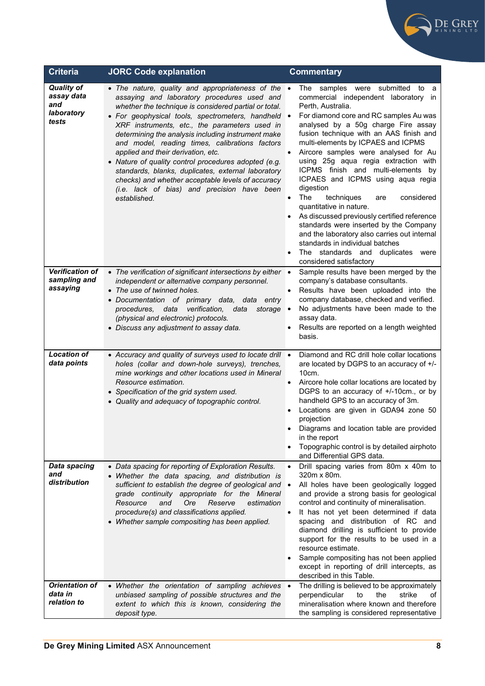

| <b>Criteria</b>                                               | <b>JORC Code explanation</b>                                                                                                                                                                                                                                                                                                                                                                                                                                                                                                                                                                                                                  | <b>Commentary</b>                                                                                                                                                                                                                                                                                                                                                                                                                                                                                                                                                                                                                                                                                                                                                                       |
|---------------------------------------------------------------|-----------------------------------------------------------------------------------------------------------------------------------------------------------------------------------------------------------------------------------------------------------------------------------------------------------------------------------------------------------------------------------------------------------------------------------------------------------------------------------------------------------------------------------------------------------------------------------------------------------------------------------------------|-----------------------------------------------------------------------------------------------------------------------------------------------------------------------------------------------------------------------------------------------------------------------------------------------------------------------------------------------------------------------------------------------------------------------------------------------------------------------------------------------------------------------------------------------------------------------------------------------------------------------------------------------------------------------------------------------------------------------------------------------------------------------------------------|
| <b>Quality of</b><br>assay data<br>and<br>laboratory<br>tests | • The nature, quality and appropriateness of the<br>assaying and laboratory procedures used and<br>whether the technique is considered partial or total.<br>· For geophysical tools, spectrometers, handheld<br>XRF instruments, etc., the parameters used in<br>determining the analysis including instrument make<br>and model, reading times, calibrations factors<br>applied and their derivation, etc.<br>• Nature of quality control procedures adopted (e.g.<br>standards, blanks, duplicates, external laboratory<br>checks) and whether acceptable levels of accuracy<br>(i.e. lack of bias) and precision have been<br>established. | The samples were submitted to<br>a<br>commercial independent laboratory in<br>Perth, Australia.<br>For diamond core and RC samples Au was<br>$\bullet$<br>analysed by a 50g charge Fire assay<br>fusion technique with an AAS finish and<br>multi-elements by ICPAES and ICPMS<br>Aircore samples were analysed for Au<br>using 25g aqua regia extraction with<br>ICPMS finish and multi-elements by<br>ICPAES and ICPMS using aqua regia<br>digestion<br>The<br>techniques<br>considered<br>$\bullet$<br>are<br>quantitative in nature.<br>As discussed previously certified reference<br>standards were inserted by the Company<br>and the laboratory also carries out internal<br>standards in individual batches<br>The standards and duplicates<br>were<br>considered satisfactory |
| <b>Verification of</b><br>sampling and<br>assaying            | • The verification of significant intersections by either •<br>independent or alternative company personnel.<br>• The use of twinned holes.<br>· Documentation of primary data, data entry<br>verification,<br>procedures,<br>storage<br>data<br>data<br>(physical and electronic) protocols.<br>• Discuss any adjustment to assay data.                                                                                                                                                                                                                                                                                                      | Sample results have been merged by the<br>company's database consultants.<br>Results have been uploaded into the<br>$\bullet$<br>company database, checked and verified.<br>No adjustments have been made to the<br>$\bullet$<br>assay data.<br>Results are reported on a length weighted<br>basis.                                                                                                                                                                                                                                                                                                                                                                                                                                                                                     |
| <b>Location of</b><br>data points                             | • Accuracy and quality of surveys used to locate drill .<br>holes (collar and down-hole surveys), trenches,<br>mine workings and other locations used in Mineral<br>Resource estimation.<br>• Specification of the grid system used.<br>• Quality and adequacy of topographic control.                                                                                                                                                                                                                                                                                                                                                        | Diamond and RC drill hole collar locations<br>are located by DGPS to an accuracy of +/-<br>10cm.<br>Aircore hole collar locations are located by<br>DGPS to an accuracy of +/-10cm., or by<br>handheld GPS to an accuracy of 3m.<br>Locations are given in GDA94 zone 50<br>projection<br>• Diagrams and location table are provided<br>in the report<br>Topographic control is by detailed airphoto<br>and Differential GPS data.                                                                                                                                                                                                                                                                                                                                                      |
| Data spacing<br>and<br>distribution                           | • Data spacing for reporting of Exploration Results.<br>• Whether the data spacing, and distribution is<br>sufficient to establish the degree of geological and<br>grade continuity appropriate for the Mineral<br>Resource<br>Ore<br>Reserve<br>estimation<br>and<br>procedure(s) and classifications applied.<br>• Whether sample compositing has been applied.                                                                                                                                                                                                                                                                             | Drill spacing varies from 80m x 40m to<br>$\bullet$<br>320m x 80m.<br>All holes have been geologically logged<br>$\bullet$<br>and provide a strong basis for geological<br>control and continuity of mineralisation.<br>It has not yet been determined if data<br>$\bullet$<br>spacing and distribution of RC and<br>diamond drilling is sufficient to provide<br>support for the results to be used in a<br>resource estimate.<br>Sample compositing has not been applied<br>except in reporting of drill intercepts, as<br>described in this Table.                                                                                                                                                                                                                                   |
| <b>Orientation of</b><br>data in<br>relation to               | • Whether the orientation of sampling achieves •<br>unbiased sampling of possible structures and the<br>extent to which this is known, considering the<br>deposit type.                                                                                                                                                                                                                                                                                                                                                                                                                                                                       | The drilling is believed to be approximately<br>the<br>strike<br>perpendicular<br>to<br>of<br>mineralisation where known and therefore<br>the sampling is considered representative                                                                                                                                                                                                                                                                                                                                                                                                                                                                                                                                                                                                     |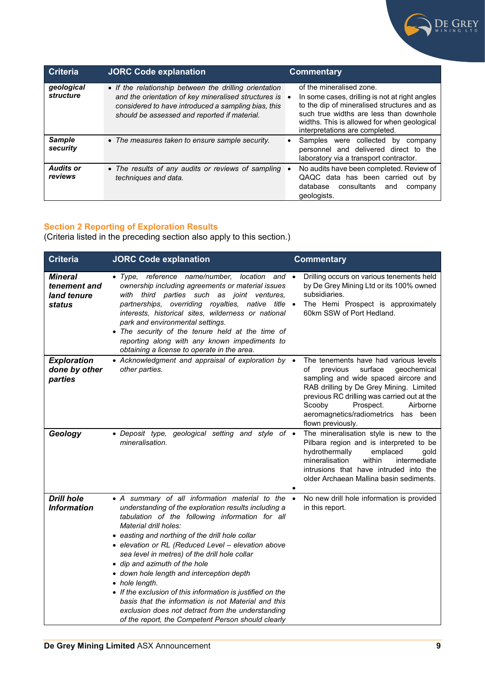

| <b>Criteria</b>             | <b>JORC Code explanation</b>                                                                                                                                                                                          | <b>Commentary</b>                                                                                                                                                                                                                                     |
|-----------------------------|-----------------------------------------------------------------------------------------------------------------------------------------------------------------------------------------------------------------------|-------------------------------------------------------------------------------------------------------------------------------------------------------------------------------------------------------------------------------------------------------|
| geological<br>structure     | • If the relationship between the drilling orientation<br>and the orientation of key mineralised structures is<br>considered to have introduced a sampling bias, this<br>should be assessed and reported if material. | of the mineralised zone.<br>In some cases, drilling is not at right angles<br>to the dip of mineralised structures and as<br>such true widths are less than downhole<br>widths. This is allowed for when geological<br>interpretations are completed. |
| <b>Sample</b><br>security   | • The measures taken to ensure sample security.                                                                                                                                                                       | Samples were collected by<br>company<br>personnel and delivered direct to the<br>laboratory via a transport contractor.                                                                                                                               |
| <b>Audits or</b><br>reviews | • The results of any audits or reviews of sampling<br>techniques and data.                                                                                                                                            | No audits have been completed. Review of<br>QAQC data has been carried out by<br>consultants<br>database<br>and<br>company<br>geologists.                                                                                                             |

## **Section 2 Reporting of Exploration Results**

(Criteria listed in the preceding section also apply to this section.)

| <b>Criteria</b>                                  | <b>JORC Code explanation</b>                                                                                                                                                                                                                                                                                                                                                                                                                                                                                                                                                                                                                                                   | <b>Commentary</b>                                                                                                                                                                                                                                                                                                     |
|--------------------------------------------------|--------------------------------------------------------------------------------------------------------------------------------------------------------------------------------------------------------------------------------------------------------------------------------------------------------------------------------------------------------------------------------------------------------------------------------------------------------------------------------------------------------------------------------------------------------------------------------------------------------------------------------------------------------------------------------|-----------------------------------------------------------------------------------------------------------------------------------------------------------------------------------------------------------------------------------------------------------------------------------------------------------------------|
| Mineral<br>tenement and<br>land tenure<br>status | • Type, reference name/number, location<br>and •<br>ownership including agreements or material issues<br>third parties such as joint ventures,<br>with<br>partnerships, overriding royalties, native title •<br>interests, historical sites, wilderness or national<br>park and environmental settings.<br>• The security of the tenure held at the time of<br>reporting along with any known impediments to<br>obtaining a license to operate in the area.                                                                                                                                                                                                                    | Drilling occurs on various tenements held<br>by De Grey Mining Ltd or its 100% owned<br>subsidiaries.<br>The Hemi Prospect is approximately<br>60km SSW of Port Hedland.                                                                                                                                              |
| <b>Exploration</b><br>done by other<br>parties   | • Acknowledgment and appraisal of exploration by •<br>other parties.                                                                                                                                                                                                                                                                                                                                                                                                                                                                                                                                                                                                           | The tenements have had various levels<br>surface<br>of<br>previous<br>qeochemical<br>sampling and wide spaced aircore and<br>RAB drilling by De Grey Mining. Limited<br>previous RC drilling was carried out at the<br>Scooby<br>Prospect.<br>Airborne<br>aeromagnetics/radiometrics<br>has been<br>flown previously. |
| Geology                                          | • Deposit type, geological setting and style of •<br>mineralisation.                                                                                                                                                                                                                                                                                                                                                                                                                                                                                                                                                                                                           | The mineralisation style is new to the<br>Pilbara region and is interpreted to be<br>hydrothermally<br>emplaced<br>gold<br>within<br>mineralisation<br>intermediate<br>intrusions that have intruded into the<br>older Archaean Mallina basin sediments.                                                              |
| <b>Drill hole</b><br><b>Information</b>          | • A summary of all information material to the •<br>understanding of the exploration results including a<br>tabulation of the following information for all<br>Material drill holes:<br>• easting and northing of the drill hole collar<br>· elevation or RL (Reduced Level - elevation above<br>sea level in metres) of the drill hole collar<br>• dip and azimuth of the hole<br>• down hole length and interception depth<br>• hole length.<br>• If the exclusion of this information is justified on the<br>basis that the information is not Material and this<br>exclusion does not detract from the understanding<br>of the report, the Competent Person should clearly | No new drill hole information is provided<br>in this report.                                                                                                                                                                                                                                                          |